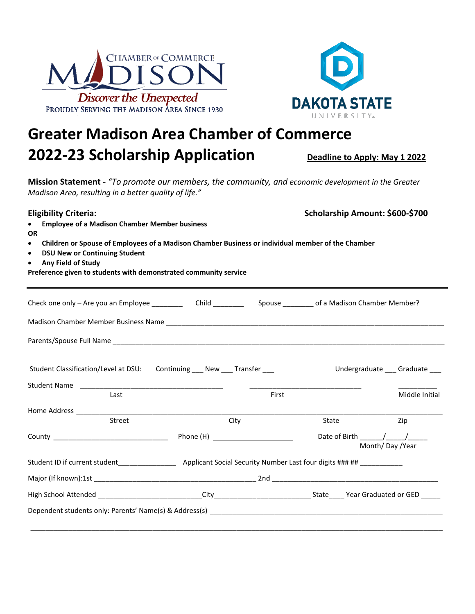



## **Greater Madison Area Chamber of Commerce 2022-23 Scholarship Application Deadline to Apply: May 1 2022**

**Mission Statement -** *"To promote our members, the community, and economic development in the Greater Madison Area, resulting in a better quality of life."*

**Eligibility Criteria:** Scholarship Amount: \$600-\$700

- **Employee of a Madison Chamber Member business OR**
- **Children or Spouse of Employees of a Madison Chamber Business or individual member of the Chamber**
- **DSU New or Continuing Student**
- **Any Field of Study**

**Preference given to students with demonstrated community service**

| Student Classification/Level at DSU: Continuing ___ New ___ Transfer ___ |      |       |                                     | Undergraduate ___ Graduate ___ |  |
|--------------------------------------------------------------------------|------|-------|-------------------------------------|--------------------------------|--|
| Last                                                                     |      | First |                                     | Middle Initial                 |  |
|                                                                          |      |       |                                     |                                |  |
| <b>Street</b>                                                            | City |       | State                               | Zip                            |  |
|                                                                          |      |       | Date of Birth / /<br>Month/Day/Year |                                |  |
|                                                                          |      |       |                                     |                                |  |
|                                                                          |      |       |                                     |                                |  |
|                                                                          |      |       |                                     |                                |  |
|                                                                          |      |       |                                     |                                |  |